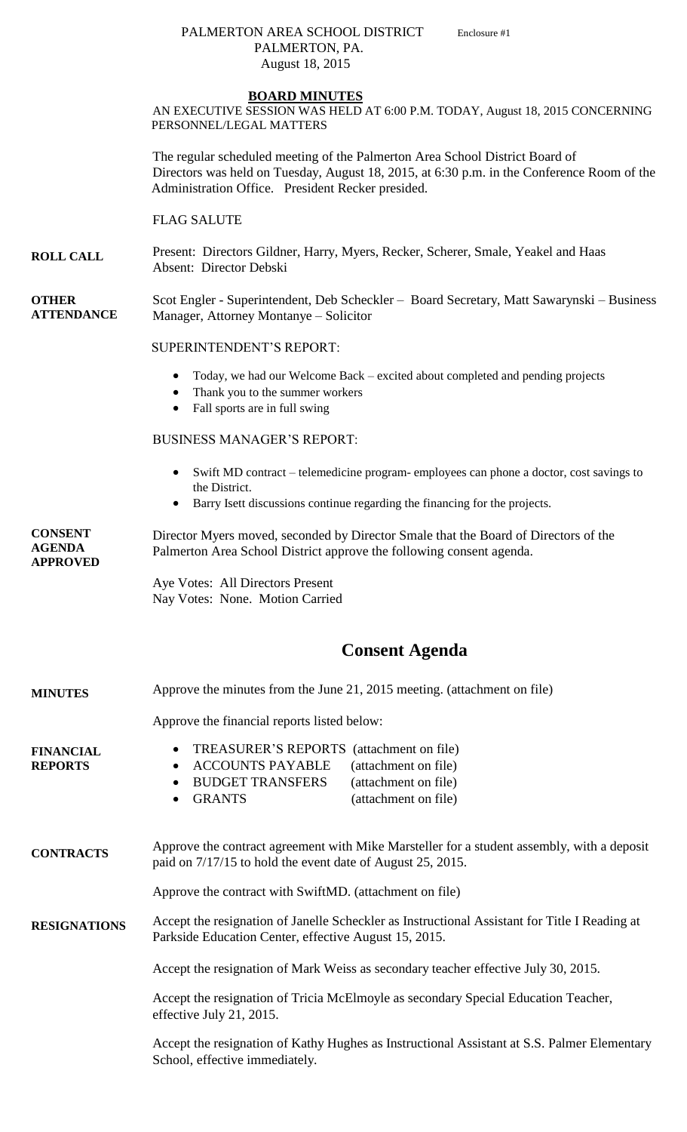# PALMERTON AREA SCHOOL DISTRICT Enclosure #1 PALMERTON, PA. August 18, 2015

## **BOARD MINUTES**

AN EXECUTIVE SESSION WAS HELD AT 6:00 P.M. TODAY, August 18, 2015 CONCERNING PERSONNEL/LEGAL MATTERS

The regular scheduled meeting of the Palmerton Area School District Board of Directors was held on Tuesday, August 18, 2015, at 6:30 p.m. in the Conference Room of the Administration Office. President Recker presided.

FLAG SALUTE

**ROLL CALL** Present: Directors Gildner, Harry, Myers, Recker, Scherer, Smale, Yeakel and Haas Absent: Director Debski

#### **OTHER ATTENDANCE** Scot Engler - Superintendent, Deb Scheckler – Board Secretary, Matt Sawarynski – Business Manager, Attorney Montanye – Solicitor

## SUPERINTENDENT'S REPORT:

- Today, we had our Welcome Back excited about completed and pending projects
- Thank you to the summer workers
- Fall sports are in full swing

## BUSINESS MANAGER'S REPORT:

- Swift MD contract telemedicine program- employees can phone a doctor, cost savings to the District.
- Barry Isett discussions continue regarding the financing for the projects.

**CONSENT AGENDA APPROVED**  Director Myers moved, seconded by Director Smale that the Board of Directors of the Palmerton Area School District approve the following consent agenda.

> Aye Votes: All Directors Present Nay Votes: None. Motion Carried

# **Consent Agenda**

| <b>MINUTES</b>                     | Approve the minutes from the June 21, 2015 meeting. (attachment on file)                                                                                                                                          |  |  |
|------------------------------------|-------------------------------------------------------------------------------------------------------------------------------------------------------------------------------------------------------------------|--|--|
|                                    | Approve the financial reports listed below:                                                                                                                                                                       |  |  |
| <b>FINANCIAL</b><br><b>REPORTS</b> | TREASURER'S REPORTS (attachment on file)<br>$\bullet$<br><b>ACCOUNTS PAYABLE</b><br>(attachment on file)<br>$\bullet$<br><b>BUDGET TRANSFERS</b><br>(attachment on file)<br>(attachment on file)<br><b>GRANTS</b> |  |  |
| <b>CONTRACTS</b>                   | Approve the contract agreement with Mike Marsteller for a student assembly, with a deposit<br>paid on 7/17/15 to hold the event date of August 25, 2015.                                                          |  |  |
|                                    | Approve the contract with SwiftMD. (attachment on file)                                                                                                                                                           |  |  |
| <b>RESIGNATIONS</b>                | Accept the resignation of Janelle Scheckler as Instructional Assistant for Title I Reading at<br>Parkside Education Center, effective August 15, 2015.                                                            |  |  |
|                                    | Accept the resignation of Mark Weiss as secondary teacher effective July 30, 2015.                                                                                                                                |  |  |
|                                    | Accept the resignation of Tricia McElmoyle as secondary Special Education Teacher,<br>effective July 21, 2015.                                                                                                    |  |  |
|                                    | Accept the resignation of Kathy Hughes as Instructional Assistant at S.S. Palmer Elementary<br>School, effective immediately.                                                                                     |  |  |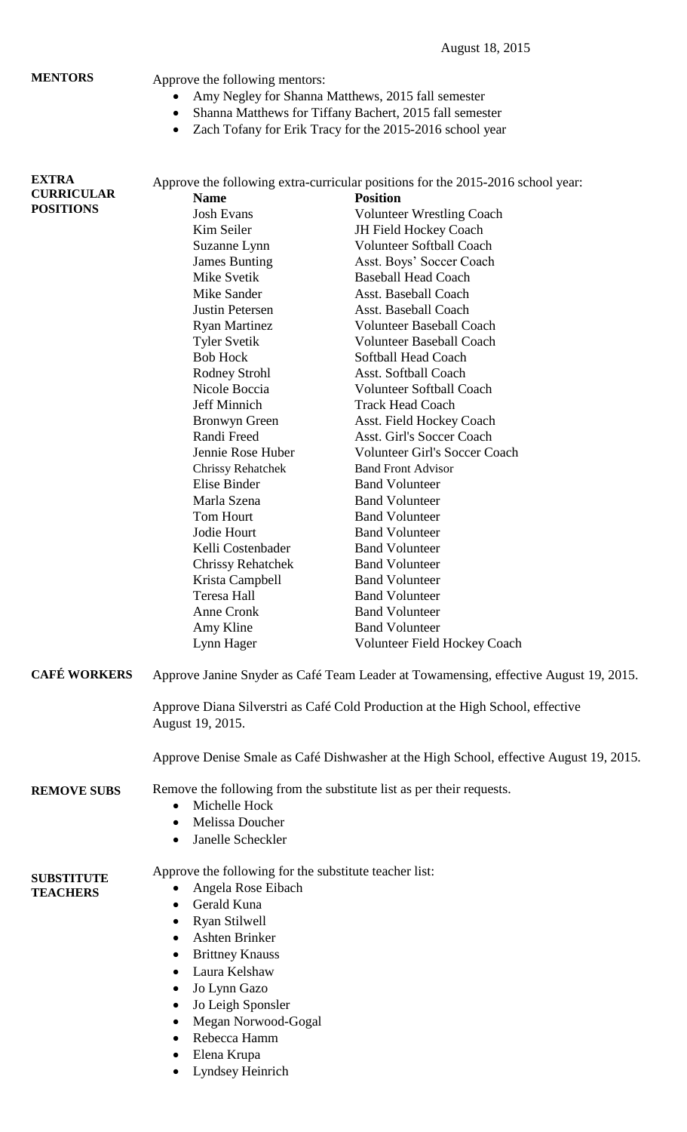# **MENTORS**

Approve the following mentors:

- Amy Negley for Shanna Matthews, 2015 fall semester
- Shanna Matthews for Tiffany Bachert, 2015 fall semester
- Zach Tofany for Erik Tracy for the 2015-2016 school year

| <b>EXTRA</b><br><b>CURRICULAR</b>    | Approve the following extra-curricular positions for the 2015-2016 school year: |                                                                                        |  |
|--------------------------------------|---------------------------------------------------------------------------------|----------------------------------------------------------------------------------------|--|
|                                      | <b>Name</b>                                                                     | <b>Position</b>                                                                        |  |
| <b>POSITIONS</b>                     | <b>Josh Evans</b>                                                               | <b>Volunteer Wrestling Coach</b>                                                       |  |
|                                      | Kim Seiler                                                                      | <b>JH Field Hockey Coach</b>                                                           |  |
|                                      | Suzanne Lynn                                                                    | <b>Volunteer Softball Coach</b>                                                        |  |
|                                      | <b>James Bunting</b>                                                            | Asst. Boys' Soccer Coach                                                               |  |
|                                      | Mike Svetik                                                                     | <b>Baseball Head Coach</b>                                                             |  |
|                                      | Mike Sander                                                                     | Asst. Baseball Coach                                                                   |  |
|                                      | <b>Justin Petersen</b>                                                          | Asst. Baseball Coach                                                                   |  |
|                                      | <b>Ryan Martinez</b>                                                            | <b>Volunteer Baseball Coach</b>                                                        |  |
|                                      | <b>Tyler Svetik</b>                                                             | <b>Volunteer Baseball Coach</b>                                                        |  |
|                                      | <b>Bob Hock</b>                                                                 | Softball Head Coach                                                                    |  |
|                                      | Rodney Strohl                                                                   | Asst. Softball Coach                                                                   |  |
|                                      | Nicole Boccia                                                                   | <b>Volunteer Softball Coach</b>                                                        |  |
|                                      | Jeff Minnich                                                                    | <b>Track Head Coach</b>                                                                |  |
|                                      | <b>Bronwyn Green</b>                                                            | Asst. Field Hockey Coach                                                               |  |
|                                      | Randi Freed                                                                     | Asst. Girl's Soccer Coach                                                              |  |
|                                      | Jennie Rose Huber                                                               | <b>Volunteer Girl's Soccer Coach</b>                                                   |  |
|                                      | <b>Chrissy Rehatchek</b>                                                        | <b>Band Front Advisor</b>                                                              |  |
|                                      | Elise Binder                                                                    | <b>Band Volunteer</b>                                                                  |  |
|                                      | Marla Szena                                                                     | <b>Band Volunteer</b>                                                                  |  |
|                                      | <b>Tom Hourt</b>                                                                | <b>Band Volunteer</b>                                                                  |  |
|                                      | Jodie Hourt                                                                     | <b>Band Volunteer</b>                                                                  |  |
|                                      | Kelli Costenbader                                                               | <b>Band Volunteer</b>                                                                  |  |
|                                      | <b>Chrissy Rehatchek</b>                                                        | <b>Band Volunteer</b>                                                                  |  |
|                                      | Krista Campbell                                                                 | <b>Band Volunteer</b>                                                                  |  |
|                                      | Teresa Hall                                                                     | <b>Band Volunteer</b>                                                                  |  |
|                                      | Anne Cronk                                                                      | <b>Band Volunteer</b>                                                                  |  |
|                                      |                                                                                 | <b>Band Volunteer</b>                                                                  |  |
|                                      | Amy Kline                                                                       |                                                                                        |  |
|                                      | Lynn Hager                                                                      | <b>Volunteer Field Hockey Coach</b>                                                    |  |
| <b>CAFÉ WORKERS</b>                  |                                                                                 | Approve Janine Snyder as Café Team Leader at Towamensing, effective August 19, 2015.   |  |
|                                      | August 19, 2015.                                                                | Approve Diana Silverstri as Café Cold Production at the High School, effective         |  |
|                                      |                                                                                 | Approve Denise Smale as Café Dishwasher at the High School, effective August 19, 2015. |  |
| <b>REMOVE SUBS</b>                   |                                                                                 | Remove the following from the substitute list as per their requests.                   |  |
|                                      | Michelle Hock                                                                   |                                                                                        |  |
|                                      | Melissa Doucher                                                                 |                                                                                        |  |
|                                      | Janelle Scheckler                                                               |                                                                                        |  |
|                                      |                                                                                 |                                                                                        |  |
|                                      | Approve the following for the substitute teacher list:                          |                                                                                        |  |
| <b>SUBSTITUTE</b><br><b>TEACHERS</b> | Angela Rose Eibach<br>٠                                                         |                                                                                        |  |
|                                      | Gerald Kuna                                                                     |                                                                                        |  |
|                                      | Ryan Stilwell                                                                   |                                                                                        |  |
|                                      | Ashten Brinker                                                                  |                                                                                        |  |
|                                      | <b>Brittney Knauss</b>                                                          |                                                                                        |  |
|                                      | Laura Kelshaw                                                                   |                                                                                        |  |
|                                      |                                                                                 |                                                                                        |  |
|                                      | Jo Lynn Gazo                                                                    |                                                                                        |  |
|                                      | Jo Leigh Sponsler<br>$\bullet$                                                  |                                                                                        |  |
|                                      | Megan Norwood-Gogal                                                             |                                                                                        |  |
|                                      | Rebecca Hamm                                                                    |                                                                                        |  |
|                                      | Elena Krupa                                                                     |                                                                                        |  |

• Lyndsey Heinrich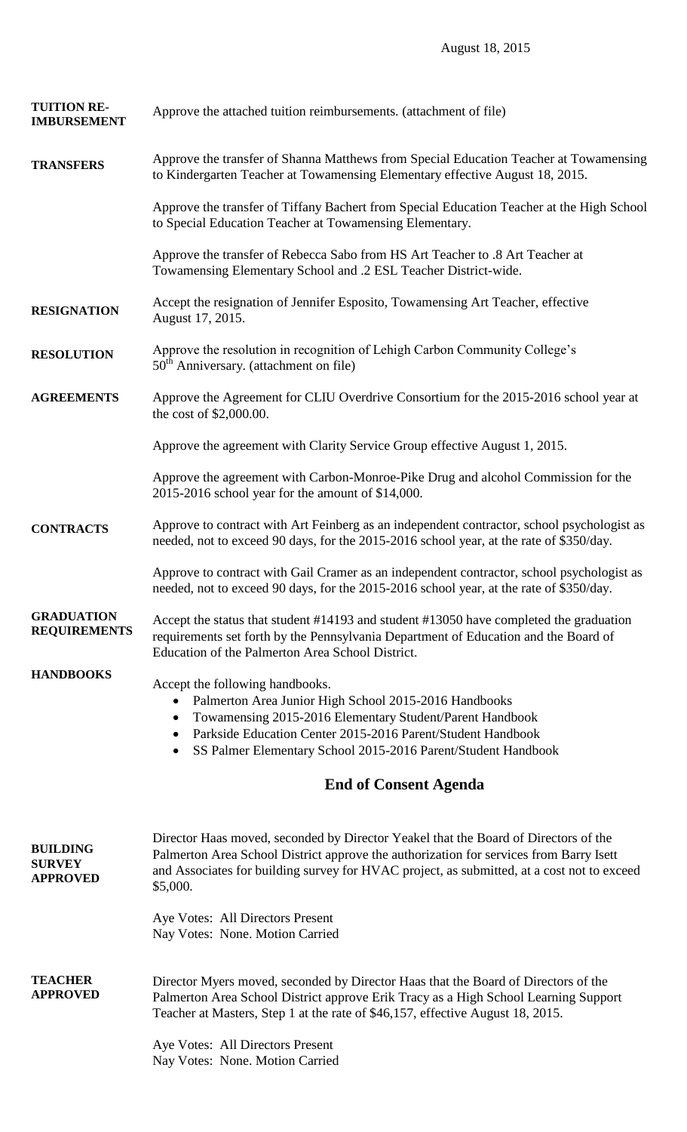| <b>TUITION RE-</b><br><b>IMBURSEMENT</b>            | Approve the attached tuition reimbursements. (attachment of file)                                                                                                                                                                                                                                                           |  |
|-----------------------------------------------------|-----------------------------------------------------------------------------------------------------------------------------------------------------------------------------------------------------------------------------------------------------------------------------------------------------------------------------|--|
| <b>TRANSFERS</b>                                    | Approve the transfer of Shanna Matthews from Special Education Teacher at Towamensing<br>to Kindergarten Teacher at Towamensing Elementary effective August 18, 2015.                                                                                                                                                       |  |
|                                                     | Approve the transfer of Tiffany Bachert from Special Education Teacher at the High School<br>to Special Education Teacher at Towamensing Elementary.                                                                                                                                                                        |  |
|                                                     | Approve the transfer of Rebecca Sabo from HS Art Teacher to .8 Art Teacher at<br>Towamensing Elementary School and .2 ESL Teacher District-wide.                                                                                                                                                                            |  |
| <b>RESIGNATION</b>                                  | Accept the resignation of Jennifer Esposito, Towamensing Art Teacher, effective<br>August 17, 2015.                                                                                                                                                                                                                         |  |
| <b>RESOLUTION</b>                                   | Approve the resolution in recognition of Lehigh Carbon Community College's<br>50 <sup>th</sup> Anniversary. (attachment on file)                                                                                                                                                                                            |  |
| <b>AGREEMENTS</b>                                   | Approve the Agreement for CLIU Overdrive Consortium for the 2015-2016 school year at<br>the cost of \$2,000.00.                                                                                                                                                                                                             |  |
|                                                     | Approve the agreement with Clarity Service Group effective August 1, 2015.                                                                                                                                                                                                                                                  |  |
|                                                     | Approve the agreement with Carbon-Monroe-Pike Drug and alcohol Commission for the<br>2015-2016 school year for the amount of \$14,000.                                                                                                                                                                                      |  |
| <b>CONTRACTS</b>                                    | Approve to contract with Art Feinberg as an independent contractor, school psychologist as<br>needed, not to exceed 90 days, for the 2015-2016 school year, at the rate of \$350/day.                                                                                                                                       |  |
|                                                     | Approve to contract with Gail Cramer as an independent contractor, school psychologist as<br>needed, not to exceed 90 days, for the 2015-2016 school year, at the rate of \$350/day.                                                                                                                                        |  |
| <b>GRADUATION</b><br><b>REQUIREMENTS</b>            | Accept the status that student #14193 and student #13050 have completed the graduation<br>requirements set forth by the Pennsylvania Department of Education and the Board of<br>Education of the Palmerton Area School District.                                                                                           |  |
| <b>HANDBOOKS</b>                                    | Accept the following handbooks.<br>Palmerton Area Junior High School 2015-2016 Handbooks<br>Towamensing 2015-2016 Elementary Student/Parent Handbook<br>$\bullet$<br>Parkside Education Center 2015-2016 Parent/Student Handbook<br>$\bullet$<br>SS Palmer Elementary School 2015-2016 Parent/Student Handbook<br>$\bullet$ |  |
| <b>End of Consent Agenda</b>                        |                                                                                                                                                                                                                                                                                                                             |  |
| <b>BUILDING</b><br><b>SURVEY</b><br><b>APPROVED</b> | Director Haas moved, seconded by Director Yeakel that the Board of Directors of the<br>Palmerton Area School District approve the authorization for services from Barry Isett<br>and Associates for building survey for HVAC project, as submitted, at a cost not to exceed<br>\$5,000.                                     |  |
|                                                     | Aye Votes: All Directors Present<br>Nay Votes: None. Motion Carried                                                                                                                                                                                                                                                         |  |
| <b>TEACHER</b><br><b>APPROVED</b>                   | Director Myers moved, seconded by Director Haas that the Board of Directors of the<br>Palmerton Area School District approve Erik Tracy as a High School Learning Support<br>Teacher at Masters, Step 1 at the rate of \$46,157, effective August 18, 2015.                                                                 |  |
|                                                     | Aye Votes: All Directors Present<br>Nay Votes: None. Motion Carried                                                                                                                                                                                                                                                         |  |